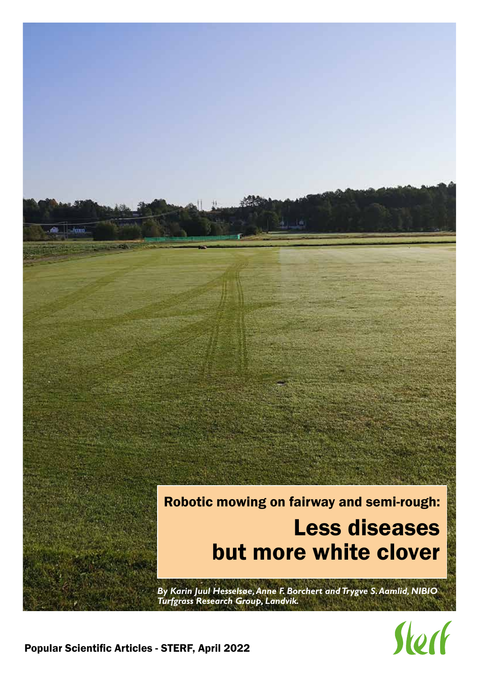

Sterf

Popular Scientific Articles - STERF, April 2022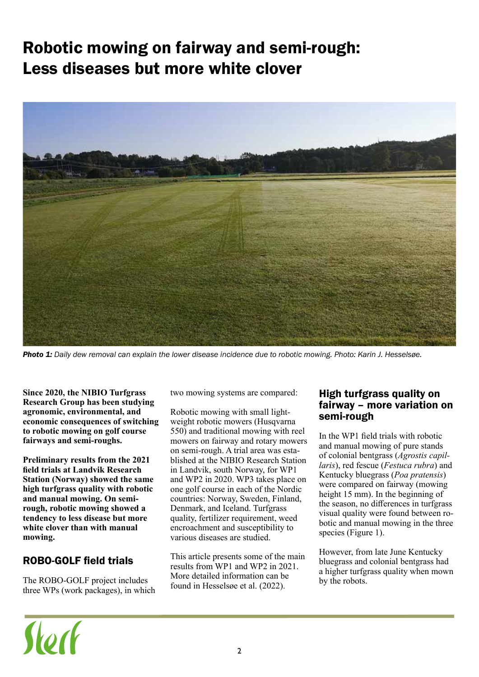# Robotic mowing on fairway and semi-rough: Less diseases but more white clover



*Photo 1: Daily dew removal can explain the lower disease incidence due to robotic mowing. Photo: Karin J. Hesselsøe.*

**Since 2020, the NIBIO Turfgrass Research Group has been studying agronomic, environmental, and economic consequences of switching to robotic mowing on golf course fairways and semi-roughs.** 

**Preliminary results from the 2021 field trials at Landvik Research Station (Norway) showed the same high turfgrass quality with robotic and manual mowing. On semirough, robotic mowing showed a tendency to less disease but more white clover than with manual mowing.**

## ROBO-GOLF field trials

Stock

The ROBO-GOLF project includes three WPs (work packages), in which two mowing systems are compared:

Robotic mowing with small lightweight robotic mowers (Husqvarna 550) and traditional mowing with reel mowers on fairway and rotary mowers on semi-rough. A trial area was established at the NIBIO Research Station in Landvik, south Norway, for WP1 and WP2 in 2020. WP3 takes place on one golf course in each of the Nordic countries: Norway, Sweden, Finland, Denmark, and Iceland. Turfgrass quality, fertilizer requirement, weed encroachment and susceptibility to various diseases are studied.

This article presents some of the main results from WP1 and WP2 in 2021. More detailed information can be found in Hesselsøe et al. (2022).

#### High turfgrass quality on fairway – more variation on semi-rough

In the WP1 field trials with robotic and manual mowing of pure stands of colonial bentgrass (*Agrostis capillaris*), red fescue (*Festuca rubra*) and Kentucky bluegrass (*Poa pratensis*) were compared on fairway (mowing height 15 mm). In the beginning of the season, no differences in turfgrass visual quality were found between robotic and manual mowing in the three species (Figure 1).

However, from late June Kentucky bluegrass and colonial bentgrass had a higher turfgrass quality when mown by the robots.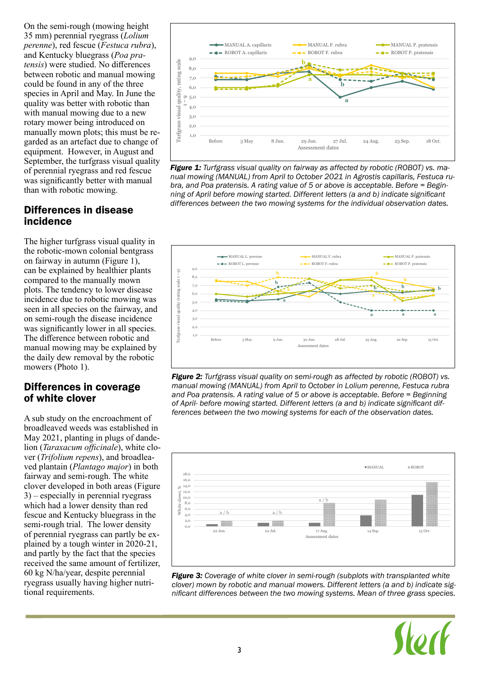On the semi-rough (mowing height 35 mm) perennial ryegrass (*Lolium perenne*), red fescue (*Festuca rubra*), and Kentucky bluegrass (*Poa pratensis*) were studied. No differences between robotic and manual mowing could be found in any of the three species in April and May. In June the quality was better with robotic than with manual mowing due to a new rotary mower being introduced on manually mown plots; this must be regarded as an artefact due to change of equipment. However, in August and September, the turfgrass visual quality of perennial ryegrass and red fescue was significantly better with manual than with robotic mowing.

#### Differences in disease incidence

The higher turfgrass visual quality in the robotic-mown colonial bentgrass on fairway in autumn (Figure 1), can be explained by healthier plants compared to the manually mown plots. The tendency to lower disease incidence due to robotic mowing was seen in all species on the fairway, and on semi-rough the disease incidence was significantly lower in all species. The difference between robotic and manual mowing may be explained by the daily dew removal by the robotic mowers (Photo 1).

#### Differences in coverage of white clover

A sub study on the encroachment of broadleaved weeds was established in May 2021, planting in plugs of dandelion (*Taraxacum officinale*), white clover (*Trifolium repens*), and broadleaved plantain (*Plantago major*) in both fairway and semi-rough. The white clover developed in both areas (Figure 3) – especially in perennial ryegrass which had a lower density than red fescue and Kentucky bluegrass in the semi-rough trial. The lower density of perennial ryegrass can partly be explained by a tough winter in 2020-21, and partly by the fact that the species received the same amount of fertilizer, 60 kg N/ha/year, despite perennial ryegrass usually having higher nutritional requirements.











*Figure 3: Coverage of white clover in semi-rough (subplots with transplanted white clover) mown by robotic and manual mowers. Different letters (a and b) indicate significant differences between the two mowing systems. Mean of three grass species.* 

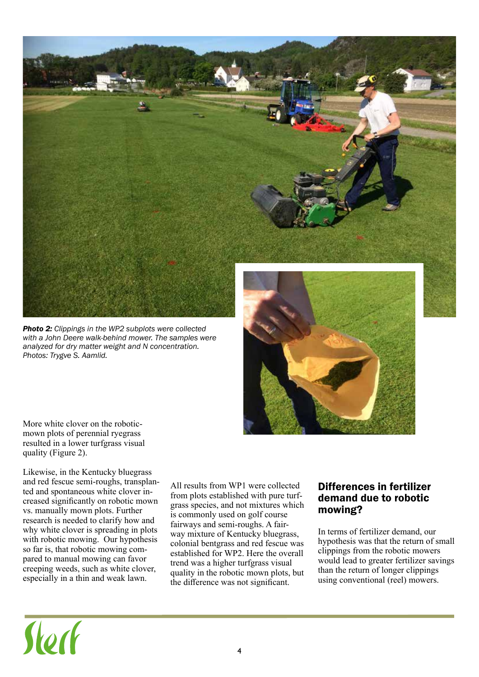

*Photo 2: Clippings in the WP2 subplots were collected with a John Deere walk-behind mower. The samples were analyzed for dry matter weight and N concentration. Photos: Trygve S. Aamlid.*



More white clover on the roboticmown plots of perennial ryegrass resulted in a lower turfgrass visual quality (Figure 2).

Likewise, in the Kentucky bluegrass and red fescue semi-roughs, transplanted and spontaneous white clover increased significantly on robotic mown vs. manually mown plots. Further research is needed to clarify how and why white clover is spreading in plots with robotic mowing. Our hypothesis so far is, that robotic mowing compared to manual mowing can favor creeping weeds, such as white clover, especially in a thin and weak lawn.

All results from WP1 were collected from plots established with pure turfgrass species, and not mixtures which is commonly used on golf course fairways and semi-roughs. A fairway mixture of Kentucky bluegrass, colonial bentgrass and red fescue was established for WP2. Here the overall trend was a higher turfgrass visual quality in the robotic mown plots, but the difference was not significant.

#### Differences in fertilizer demand due to robotic mowing?

In terms of fertilizer demand, our hypothesis was that the return of small clippings from the robotic mowers would lead to greater fertilizer savings than the return of longer clippings using conventional (reel) mowers.

# Stort